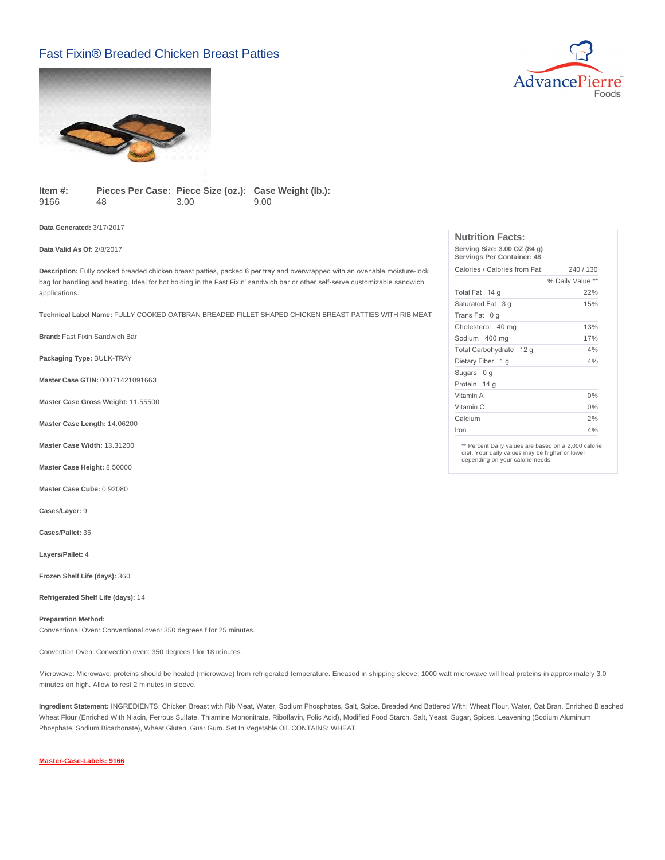## Fast Fixin® Breaded Chicken Breast Patties





**Item #:** 9166 Pieces Per Case: Piece Size (oz.): Case Weight (lb.): 48 3.00 9.00

**Data Generated:** 3/17/2017

## **Data Valid As Of:** 2/8/2017

**Description:** Fully cooked breaded chicken breast patties, packed 6 per tray and overwrapped with an ovenable moisture-lock bag for handling and heating. Ideal for hot holding in the Fast Fixin' sandwich bar or other self-serve customizable sandwich applications.

**Technical Label Name:** FULLY COOKED OATBRAN BREADED FILLET SHAPED CHICKEN BREAST PATTIES WITH RIB MEAT

**Brand:** Fast Fixin Sandwich Bar

**Packaging Type:** BULK-TRAY

**Master Case GTIN:** 00071421091663

**Master Case Gross Weight:** 11.55500

**Master Case Length:** 14.06200

**Master Case Width:** 13.31200

**Master Case Height:** 8.50000

**Master Case Cube:** 0.92080

**Cases/Layer:** 9

**Cases/Pallet:** 36

**Layers/Pallet:** 4

**Frozen Shelf Life (days):** 360

**Refrigerated Shelf Life (days):** 14

#### **Preparation Method:**

Conventional Oven: Conventional oven: 350 degrees f for 25 minutes.

Convection Oven: Convection oven: 350 degrees f for 18 minutes.

Microwave: Microwave: proteins should be heated (microwave) from refrigerated temperature. Encased in shipping sleeve; 1000 watt microwave will heat proteins in approximately 3.0 minutes on high. Allow to rest 2 minutes in sleeve.

**Ingredient Statement:** INGREDIENTS: Chicken Breast with Rib Meat, Water, Sodium Phosphates, Salt, Spice. Breaded And Battered With: Wheat Flour, Water, Oat Bran, Enriched Bleached Wheat Flour (Enriched With Niacin, Ferrous Sulfate, Thiamine Mononitrate, Riboflavin, Folic Acid), Modified Food Starch, Salt, Yeast, Sugar, Spices, Leavening (Sodium Aluminum Phosphate, Sodium Bicarbonate), Wheat Gluten, Guar Gum. Set In Vegetable Oil. CONTAINS: WHEAT

#### **[Master-Case-Labels: 9166](http://www.advancepierre.com/pdf/Master-Case-Labels/9166.jpg)**

| <b>Nutrition Facts:</b>                                    |                  |
|------------------------------------------------------------|------------------|
| Serving Size: 3.00 OZ (84 g)<br>Servings Per Container: 48 |                  |
| Calories / Calories from Fat:                              | 240 / 130        |
|                                                            | % Daily Value ** |
|                                                            |                  |

|                         | <i>o</i> Daily value |
|-------------------------|----------------------|
| Total Fat 14 g          | 22%                  |
| Saturated Fat 3 g       | 15%                  |
| Trans Fat 0 q           |                      |
| Cholesterol 40 mg       | 13%                  |
| Sodium 400 mg           | 17%                  |
| Total Carbohydrate 12 g | 4%                   |
| Dietary Fiber 1 g       | 4%                   |
| Sugars 0 g              |                      |
| Protein 14 g            |                      |
| Vitamin A               | 0%                   |
| Vitamin C               | 0%                   |
| Calcium                 | 2%                   |
| Iron                    | 4%                   |

\*\* Percent Daily values are based on a 2,000 calorie diet. Your daily values may be higher or lower depending on your calorie needs.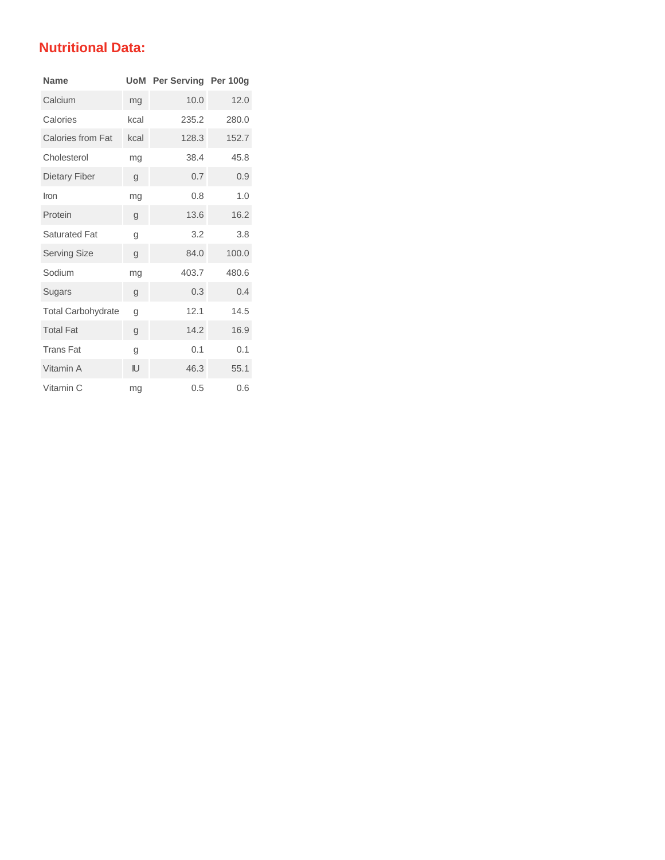# **Nutritional Data:**

| <b>Name</b>               | UoM  | Per Serving Per 100g |       |
|---------------------------|------|----------------------|-------|
| Calcium                   | mg   | 10.0                 | 12.0  |
| Calories                  | kcal | 235.2                | 280.0 |
| <b>Calories from Fat</b>  | kcal | 128.3                | 152.7 |
| Cholesterol               | mg   | 38.4                 | 45.8  |
| Dietary Fiber             | g    | 0.7                  | 0.9   |
| Iron                      | mg   | 0.8                  | 1.0   |
| Protein                   | g    | 13.6                 | 16.2  |
| <b>Saturated Fat</b>      | g    | 3.2                  | 3.8   |
| <b>Serving Size</b>       | g    | 84.0                 | 100.0 |
| Sodium                    | mg   | 403.7                | 480.6 |
| Sugars                    | g    | 0.3                  | 0.4   |
| <b>Total Carbohydrate</b> | g    | 12.1                 | 14.5  |
| <b>Total Fat</b>          | g    | 14.2                 | 16.9  |
| <b>Trans Fat</b>          | g    | 0.1                  | 0.1   |
| Vitamin A                 | IJ   | 46.3                 | 55.1  |
| Vitamin C                 | mg   | 0.5                  | 0.6   |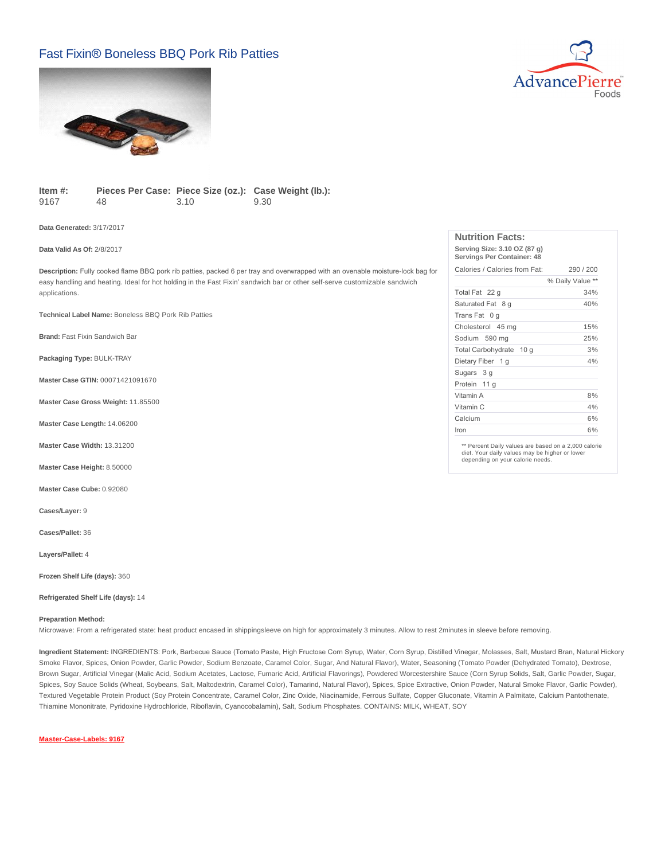## Fast Fixin® Boneless BBQ Pork Rib Patties





**Item #:** 9167 Pieces Per Case: Piece Size (oz.): Case Weight (lb.): 48 3.10 9.30

**Data Generated:** 3/17/2017

### **Data Valid As Of:** 2/8/2017

**Description:** Fully cooked flame BBQ pork rib patties, packed 6 per tray and overwrapped with an ovenable moisture-lock bag for easy handling and heating. Ideal for hot holding in the Fast Fixin' sandwich bar or other self-serve customizable sandwich applications.

**Technical Label Name:** Boneless BBQ Pork Rib Patties

**Brand:** Fast Fixin Sandwich Bar

**Packaging Type:** BULK-TRAY

**Master Case GTIN:** 00071421091670

**Master Case Gross Weight:** 11.85500

**Master Case Length:** 14.06200

**Master Case Width:** 13.31200

**Master Case Height:** 8.50000

**Master Case Cube:** 0.92080

**Cases/Layer:** 9

**Cases/Pallet:** 36

**Layers/Pallet:** 4

**Frozen Shelf Life (days):** 360

#### **Refrigerated Shelf Life (days):** 14

#### **Preparation Method:**

Microwave: From a refrigerated state: heat product encased in shippingsleeve on high for approximately 3 minutes. Allow to rest 2minutes in sleeve before removing.

**Ingredient Statement:** INGREDIENTS: Pork, Barbecue Sauce (Tomato Paste, High Fructose Corn Syrup, Water, Corn Syrup, Distilled Vinegar, Molasses, Salt, Mustard Bran, Natural Hickory Smoke Flavor, Spices, Onion Powder, Garlic Powder, Sodium Benzoate, Caramel Color, Sugar, And Natural Flavor), Water, Seasoning (Tomato Powder (Dehydrated Tomato), Dextrose, Brown Sugar, Artificial Vinegar (Malic Acid, Sodium Acetates, Lactose, Fumaric Acid, Artificial Flavorings), Powdered Worcestershire Sauce (Corn Syrup Solids, Salt, Garlic Powder, Sugar, Spices, Soy Sauce Solids (Wheat, Soybeans, Salt, Maltodextrin, Caramel Color), Tamarind, Natural Flavor), Spices, Spice Extractive, Onion Powder, Natural Smoke Flavor, Garlic Powder), Textured Vegetable Protein Product (Soy Protein Concentrate, Caramel Color, Zinc Oxide, Niacinamide, Ferrous Sulfate, Copper Gluconate, Vitamin A Palmitate, Calcium Pantothenate, Thiamine Mononitrate, Pyridoxine Hydrochloride, Riboflavin, Cyanocobalamin), Salt, Sodium Phosphates. CONTAINS: MILK, WHEAT, SOY

## **[Master-Case-Labels: 9167](http://www.advancepierre.com/pdf/Master-Case-Labels/9167.jpg)**

| NUTHION FACTS:                                             |                  |
|------------------------------------------------------------|------------------|
| Serving Size: 3.10 OZ (87 g)<br>Servings Per Container: 48 |                  |
| Calories / Calories from Fat:                              | 290/200          |
|                                                            | % Daily Value ** |
| Total Fat 22 q                                             | 34%              |
| Saturated Fat 8 g                                          | 40%              |
| Trans Fat 0 g                                              |                  |
| Cholesterol 45 mg                                          | 15%              |
| Sodium 590 mg                                              | 25%              |
| Total Carbohydrate 10 q                                    | 3%               |
| Dietary Fiber 1 g                                          | 4%               |
| Sugars 3 g                                                 |                  |
| Protein 11 g                                               |                  |
| Vitamin A                                                  | 8%               |
| Vitamin C                                                  | 4%               |
| Calcium                                                    | 6%               |
| Iron                                                       | 6%               |

**Nutrition Facts:**

\*\* Percent Daily values are based on a 2,000 calorie diet. Your daily values may be higher or lower depending on your calorie needs.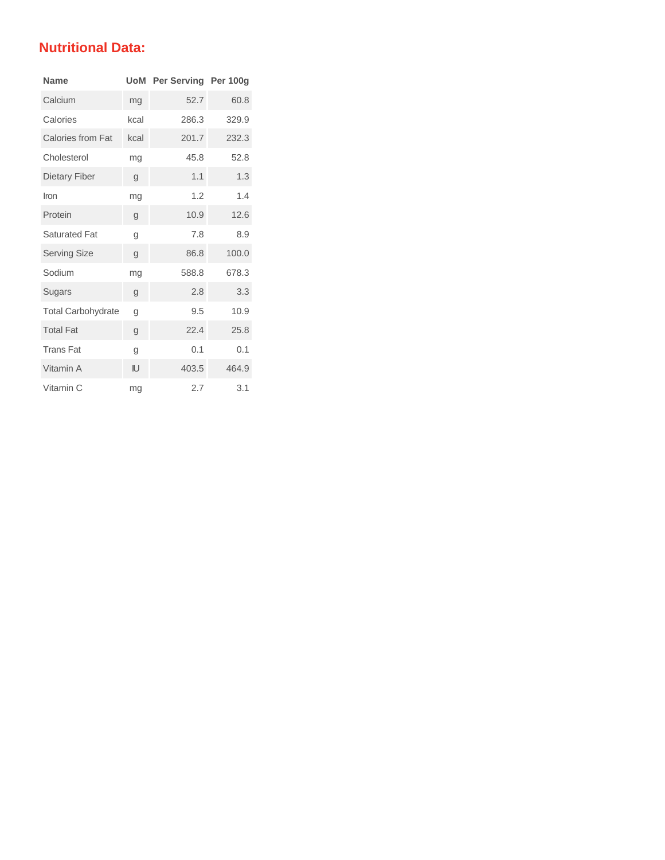# **Nutritional Data:**

| <b>Name</b>               |      | <b>UoM</b> Per Serving Per 100g |       |
|---------------------------|------|---------------------------------|-------|
| Calcium                   | mg   | 52.7                            | 60.8  |
| Calories                  | kcal | 286.3                           | 329.9 |
| Calories from Fat         | kcal | 201.7                           | 232.3 |
| Cholesterol               | mg   | 45.8                            | 52.8  |
| Dietary Fiber             | g    | 1.1                             | 1.3   |
| Iron                      | mg   | 1.2                             | 1.4   |
| Protein                   | g    | 10.9                            | 12.6  |
| <b>Saturated Fat</b>      | g    | 7.8                             | 8.9   |
| <b>Serving Size</b>       | g    | 86.8                            | 100.0 |
| Sodium                    | mg   | 588.8                           | 678.3 |
| Sugars                    | g    | 2.8                             | 3.3   |
| <b>Total Carbohydrate</b> | g    | 9.5                             | 10.9  |
| <b>Total Fat</b>          | g    | 22.4                            | 25.8  |
| <b>Trans Fat</b>          | g    | 0.1                             | 0.1   |
| Vitamin A                 | IJ   | 403.5                           | 464.9 |
| Vitamin C                 | mg   | 2.7                             | 3.1   |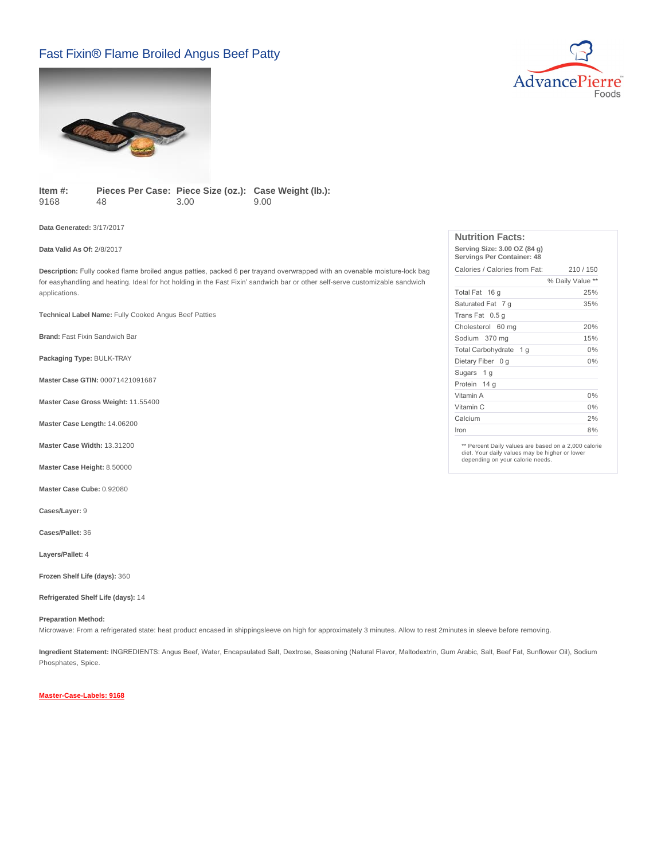# Fast Fixin® Flame Broiled Angus Beef Patty





**Item #:** 9168 Pieces Per Case: Piece Size (oz.): Case Weight (lb.): 48 3.00 9.00

**Data Generated:** 3/17/2017

**Data Valid As Of:** 2/8/2017

**Description:** Fully cooked flame broiled angus patties, packed 6 per trayand overwrapped with an ovenable moisture-lock bag for easyhandling and heating. Ideal for hot holding in the Fast Fixin' sandwich bar or other self-serve customizable sandwich applications.

**Technical Label Name:** Fully Cooked Angus Beef Patties

**Brand:** Fast Fixin Sandwich Bar

**Packaging Type:** BULK-TRAY

**Master Case GTIN:** 00071421091687

**Master Case Gross Weight:** 11.55400

**Master Case Length:** 14.06200

**Master Case Width:** 13.31200

**Master Case Height:** 8.50000

**Master Case Cube:** 0.92080

**Cases/Layer:** 9

**Cases/Pallet:** 36

**Layers/Pallet:** 4

**Frozen Shelf Life (days):** 360

### **Refrigerated Shelf Life (days):** 14

**Preparation Method:**

Microwave: From a refrigerated state: heat product encased in shippingsleeve on high for approximately 3 minutes. Allow to rest 2minutes in sleeve before removing.

**Ingredient Statement:** INGREDIENTS: Angus Beef, Water, Encapsulated Salt, Dextrose, Seasoning (Natural Flavor, Maltodextrin, Gum Arabic, Salt, Beef Fat, Sunflower Oil), Sodium Phosphates, Spice.

**[Master-Case-Labels: 9168](http://www.advancepierre.com/pdf/Master-Case-Labels/9168.jpg)**

| <b>Nutrition Facts:</b>                                    |                  |
|------------------------------------------------------------|------------------|
| Serving Size: 3.00 OZ (84 g)<br>Servings Per Container: 48 |                  |
| Calories / Calories from Fat:                              | 210/150          |
|                                                            | % Daily Value ** |
| Total Fat 16 g                                             | 25%              |
| Saturated Fat 7 g                                          | 35%              |
| Trans Fat 0.5 g                                            |                  |
| Cholesterol 60 mg                                          | 20%              |
| Sodium 370 mg                                              | 15%              |
| Total Carbohydrate 1 q                                     | 0%               |
| Dietary Fiber 0 g                                          | 0%               |
| Sugars 1 g                                                 |                  |
| Protein 14 g                                               |                  |
| Vitamin A                                                  | $0\%$            |
| Vitamin C                                                  | $0\%$            |
| Calcium                                                    | 2%               |
| Iron                                                       | 8%               |

\*\* Percent Daily values are based on a 2,000 calorie diet. Your daily values may be higher or lower depending on your calorie needs.